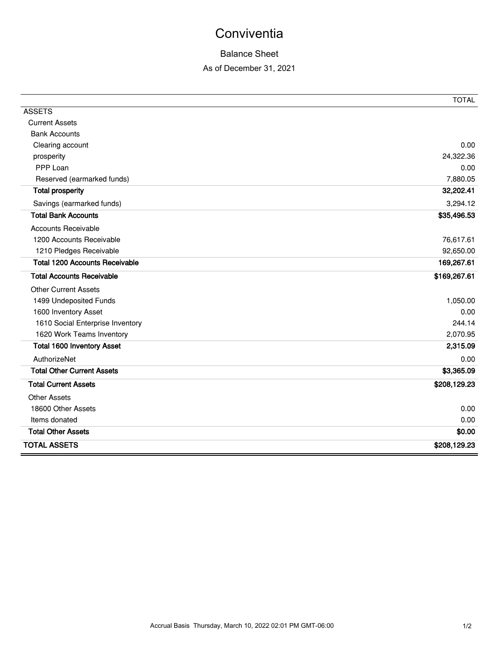# **Conviventia**

### Balance Sheet

#### As of December 31, 2021

|                                       | <b>TOTAL</b> |
|---------------------------------------|--------------|
| <b>ASSETS</b>                         |              |
| <b>Current Assets</b>                 |              |
| <b>Bank Accounts</b>                  |              |
| Clearing account                      | 0.00         |
| prosperity                            | 24,322.36    |
| PPP Loan                              | 0.00         |
| Reserved (earmarked funds)            | 7,880.05     |
| <b>Total prosperity</b>               | 32,202.41    |
| Savings (earmarked funds)             | 3,294.12     |
| <b>Total Bank Accounts</b>            | \$35,496.53  |
| <b>Accounts Receivable</b>            |              |
| 1200 Accounts Receivable              | 76,617.61    |
| 1210 Pledges Receivable               | 92,650.00    |
| <b>Total 1200 Accounts Receivable</b> | 169,267.61   |
| <b>Total Accounts Receivable</b>      | \$169,267.61 |
| <b>Other Current Assets</b>           |              |
| 1499 Undeposited Funds                | 1,050.00     |
| 1600 Inventory Asset                  | 0.00         |
| 1610 Social Enterprise Inventory      | 244.14       |
| 1620 Work Teams Inventory             | 2,070.95     |
| <b>Total 1600 Inventory Asset</b>     | 2,315.09     |
| AuthorizeNet                          | 0.00         |
| <b>Total Other Current Assets</b>     | \$3,365.09   |
| <b>Total Current Assets</b>           | \$208,129.23 |
| <b>Other Assets</b>                   |              |
| 18600 Other Assets                    | 0.00         |
| Items donated                         | 0.00         |
| <b>Total Other Assets</b>             | \$0.00       |
| <b>TOTAL ASSETS</b>                   | \$208,129.23 |